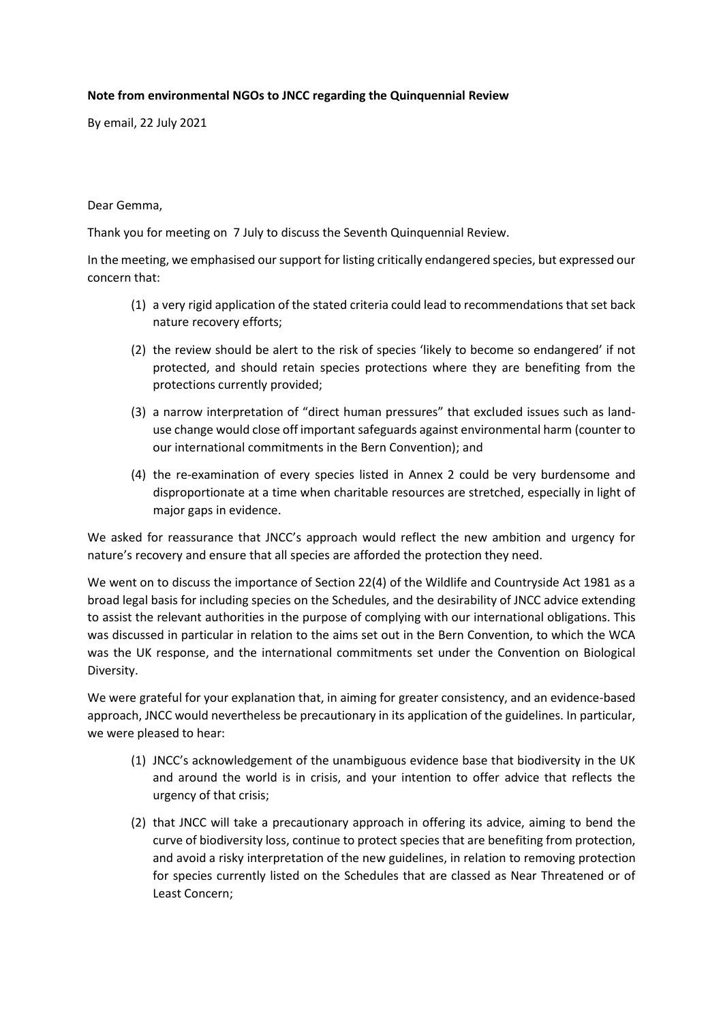## **Note from environmental NGOs to JNCC regarding the Quinquennial Review**

By email, 22 July 2021

## Dear Gemma,

Thank you for meeting on 7 July to discuss the Seventh Quinquennial Review.

In the meeting, we emphasised our support for listing critically endangered species, but expressed our concern that:

- (1) a very rigid application of the stated criteria could lead to recommendations that set back nature recovery efforts;
- (2) the review should be alert to the risk of species 'likely to become so endangered' if not protected, and should retain species protections where they are benefiting from the protections currently provided;
- (3) a narrow interpretation of "direct human pressures" that excluded issues such as landuse change would close off important safeguards against environmental harm (counter to our international commitments in the Bern Convention); and
- (4) the re-examination of every species listed in Annex 2 could be very burdensome and disproportionate at a time when charitable resources are stretched, especially in light of major gaps in evidence.

We asked for reassurance that JNCC's approach would reflect the new ambition and urgency for nature's recovery and ensure that all species are afforded the protection they need.

We went on to discuss the importance of Section 22(4) of the Wildlife and Countryside Act 1981 as a broad legal basis for including species on the Schedules, and the desirability of JNCC advice extending to assist the relevant authorities in the purpose of complying with our international obligations. This was discussed in particular in relation to the aims set out in the Bern Convention, to which the WCA was the UK response, and the international commitments set under the Convention on Biological Diversity.

We were grateful for your explanation that, in aiming for greater consistency, and an evidence-based approach, JNCC would nevertheless be precautionary in its application of the guidelines. In particular, we were pleased to hear:

- (1) JNCC's acknowledgement of the unambiguous evidence base that biodiversity in the UK and around the world is in crisis, and your intention to offer advice that reflects the urgency of that crisis;
- (2) that JNCC will take a precautionary approach in offering its advice, aiming to bend the curve of biodiversity loss, continue to protect species that are benefiting from protection, and avoid a risky interpretation of the new guidelines, in relation to removing protection for species currently listed on the Schedules that are classed as Near Threatened or of Least Concern;